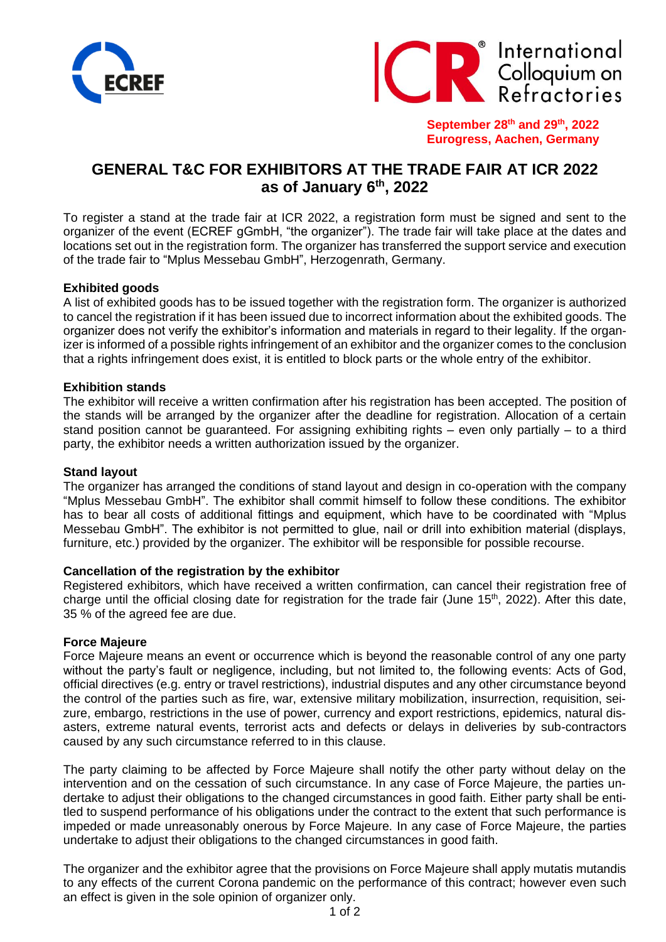



**September 28 th and 29th, 2022 Eurogress, Aachen, Germany**

# **GENERAL T&C FOR EXHIBITORS AT THE TRADE FAIR AT ICR 2022 as of January 6 th, 2022**

To register a stand at the trade fair at ICR 2022, a registration form must be signed and sent to the organizer of the event (ECREF gGmbH, "the organizer"). The trade fair will take place at the dates and locations set out in the registration form. The organizer has transferred the support service and execution of the trade fair to "Mplus Messebau GmbH", Herzogenrath, Germany.

# **Exhibited goods**

A list of exhibited goods has to be issued together with the registration form. The organizer is authorized to cancel the registration if it has been issued due to incorrect information about the exhibited goods. The organizer does not verify the exhibitor's information and materials in regard to their legality. If the organizer is informed of a possible rights infringement of an exhibitor and the organizer comes to the conclusion that a rights infringement does exist, it is entitled to block parts or the whole entry of the exhibitor.

## **Exhibition stands**

The exhibitor will receive a written confirmation after his registration has been accepted. The position of the stands will be arranged by the organizer after the deadline for registration. Allocation of a certain stand position cannot be guaranteed. For assigning exhibiting rights – even only partially – to a third party, the exhibitor needs a written authorization issued by the organizer.

## **Stand layout**

The organizer has arranged the conditions of stand layout and design in co-operation with the company "Mplus Messebau GmbH". The exhibitor shall commit himself to follow these conditions. The exhibitor has to bear all costs of additional fittings and equipment, which have to be coordinated with "Mplus Messebau GmbH". The exhibitor is not permitted to glue, nail or drill into exhibition material (displays, furniture, etc.) provided by the organizer. The exhibitor will be responsible for possible recourse.

#### **Cancellation of the registration by the exhibitor**

Registered exhibitors, which have received a written confirmation, can cancel their registration free of charge until the official closing date for registration for the trade fair (June 15<sup>th</sup>, 2022). After this date, 35 % of the agreed fee are due.

## **Force Majeure**

Force Majeure means an event or occurrence which is beyond the reasonable control of any one party without the party's fault or negligence, including, but not limited to, the following events: Acts of God, official directives (e.g. entry or travel restrictions), industrial disputes and any other circumstance beyond the control of the parties such as fire, war, extensive military mobilization, insurrection, requisition, seizure, embargo, restrictions in the use of power, currency and export restrictions, epidemics, natural disasters, extreme natural events, terrorist acts and defects or delays in deliveries by sub-contractors caused by any such circumstance referred to in this clause.

The party claiming to be affected by Force Majeure shall notify the other party without delay on the intervention and on the cessation of such circumstance. In any case of Force Majeure, the parties undertake to adjust their obligations to the changed circumstances in good faith. Either party shall be entitled to suspend performance of his obligations under the contract to the extent that such performance is impeded or made unreasonably onerous by Force Majeure. In any case of Force Majeure, the parties undertake to adjust their obligations to the changed circumstances in good faith.

The organizer and the exhibitor agree that the provisions on Force Majeure shall apply mutatis mutandis to any effects of the current Corona pandemic on the performance of this contract; however even such an effect is given in the sole opinion of organizer only.